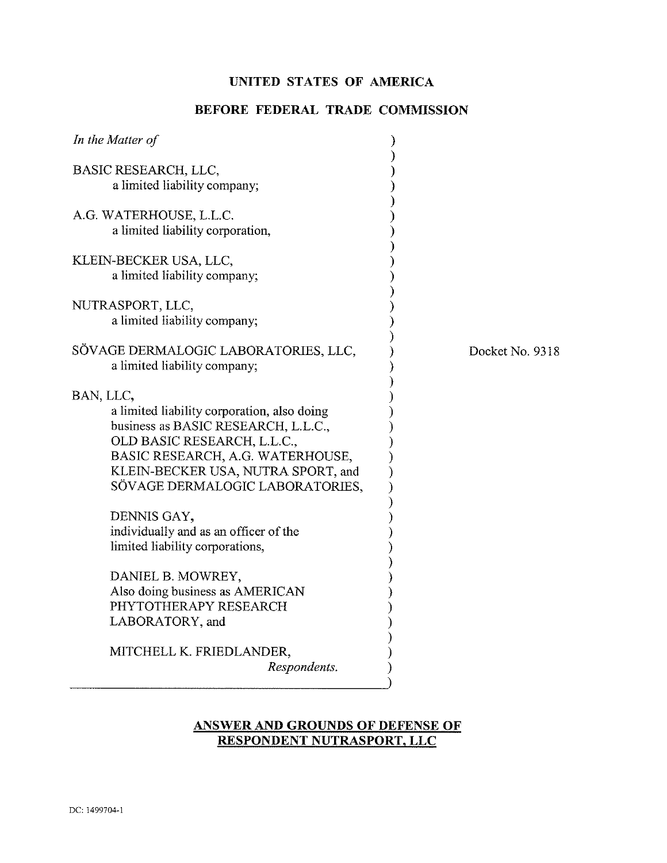## **UNITED STATES OF AMERICA**

# **BEFORE FEDERAL TRADE COMMISSION**

| BASIC RESEARCH, LLC,<br>a limited liability company;                                                                                                                                                                                        |                 |
|---------------------------------------------------------------------------------------------------------------------------------------------------------------------------------------------------------------------------------------------|-----------------|
| A.G. WATERHOUSE, L.L.C.<br>a limited liability corporation,                                                                                                                                                                                 |                 |
| KLEIN-BECKER USA, LLC,<br>a limited liability company;                                                                                                                                                                                      |                 |
| NUTRASPORT, LLC,<br>a limited liability company;                                                                                                                                                                                            |                 |
| SÖVAGE DERMALOGIC LABORATORIES, LLC,<br>a limited liability company;                                                                                                                                                                        | Docket No. 9318 |
| BAN, LLC,<br>a limited liability corporation, also doing<br>business as BASIC RESEARCH, L.L.C.,<br>OLD BASIC RESEARCH, L.L.C.,<br>BASIC RESEARCH, A.G. WATERHOUSE,<br>KLEIN-BECKER USA, NUTRA SPORT, and<br>SÖVAGE DERMALOGIC LABORATORIES, |                 |
| DENNIS GAY,<br>individually and as an officer of the<br>limited liability corporations,                                                                                                                                                     |                 |
| DANIEL B. MOWREY,<br>Also doing business as AMERICAN<br>PHYTOTHERAPY RESEARCH<br>LABORATORY, and                                                                                                                                            |                 |
| MITCHELL K. FRIEDLANDER,<br>Respondents.                                                                                                                                                                                                    |                 |

# **ANSWER AND GROUNDS OF DEFENSE OF** RESPONDENT NUTRASPORT, LLC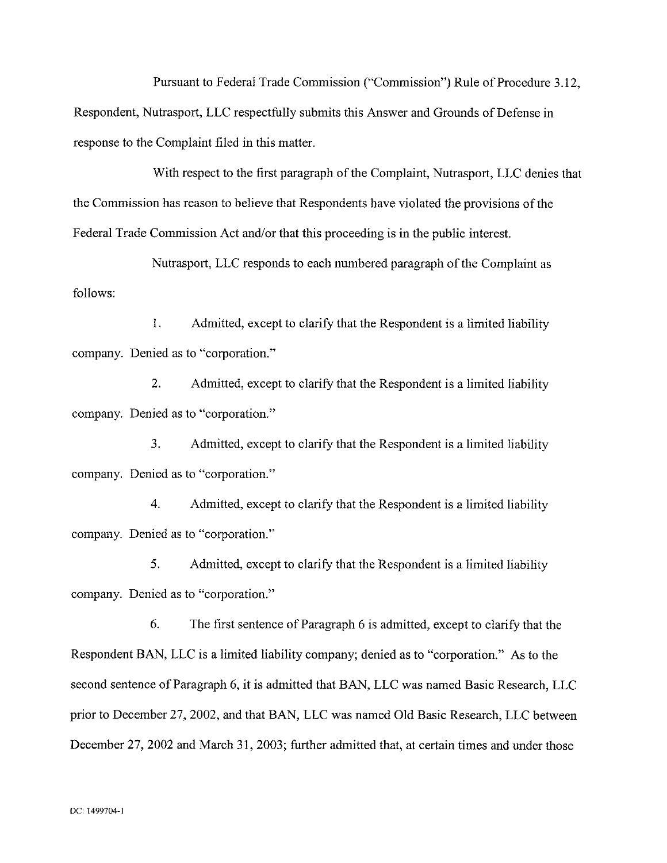Pursuant to Federal Trade Commission ("Commission") Rule of Procedure 3.12, Respondent, Nutrasport, LLC respectfully submits this Answer and Grounds of Defense in response to the Complaint filed in this matter.

With respect to the first paragraph of the Complaint, Nutrasport, LLC denies that the Commission has reason to believe that Respondents have violated the provisions of the Federal Trade Commission Act and/or that this proceeding is in the public interest.

Nutrasport, LLC responds to each numbered paragraph of the Complaint as follows:

**1.** Admitted, except to clarify that the Respondent is a limited liability company. Denied as to "corporation."

2. Admitted, except to clarify that the Respondent is a limited liability company. Denied as to "corporation."

**3.** Admitted, except to clarify that the Respondent is a limited liability company. Denied as to "corporation."

4. Admitted, except to clarify that the Respondent is a limited liability company. Denied as to "corporation."

5. Admitted, except to clarify that the Respondent is a limited liability company. Denied as to "corporation."

*6.* The first sentence of Paragraph 6 is admitted, except to clarify that the Respondent BAN, LLC is a limited liability company; denied as to "corporation." As to the second sentence of Paragraph 6, it is admitted that BAN, LLC was named Basic Research, LLC prior to December 27,2002, and that BAN, LLC was named Old Basic Research, LLC between December 27, 2002 and March 31, 2003; further admitted that, at certain times and under those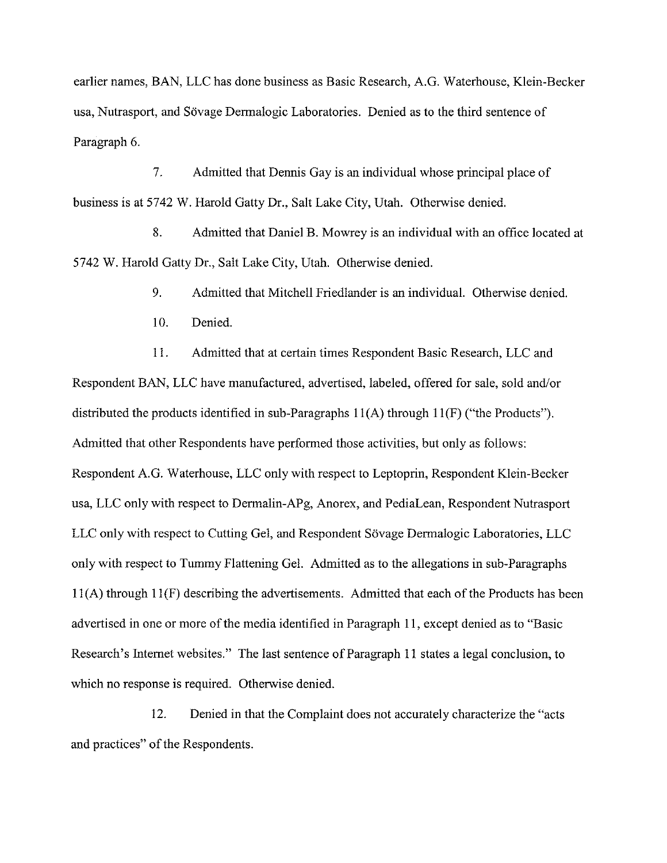earlier names, BAN, LLC has done business as Basic Research, A.G. Waterhouse, Klein-Becker usa, Nutrasport, and Sövage Dermalogic Laboratories. Denied as to the third sentence of Paragraph *6.* 

7. Admitted that Dennis Gay is an individual whose principal place of business is at 5742 W. Harold Gatty Dr., Salt Lake City, Utah. Otherwise denied.

8. Admitted that Daniel B. Mowrey is an individual with an office located at 5742 W. Harold Gatty Dr., Salt Lake City, Utah. Otherwise denied.

9. Admitted that Mitchell Friedlander is an individual. Otherwise denied.

10. Denied.

11. Admitted that at certain times Respondent Basic Research, LLC and Respondent BAN, LLC have manufactured, advertised, labeled, offered for sale, sold and/or distributed the products identified in sub-paragraphs 11(A) through 11(F) ("the Products"). Admitted that other Respondents have performed those activities, but only as follows: Respondent A.G. Waterhouse, LLC only with respect to Leptoprin, Respondent Klein-Becker usa, LLC only with respect to Dermalin-APg, Anorex, and PediaLean, Respondent Nutrasport LLC only with respect to Cutting Gel, and Respondent Sövage Dermalogic Laboratories, LLC only with respect to Tummy Flattening Gel. Admitted as to the allegations in sub-paragraphs  $11(A)$  through  $11(F)$  describing the advertisements. Admitted that each of the Products has been advertised in one or more of the media identified in Paragraph 11, except denied as to "Basic Research's Internet websites." The last sentence of Paragraph 11 states a legal conclusion, to which no response is required. Otherwise denied.

12. Denied in that the Complaint does not accurately characterize the "acts and practices" of the Respondents.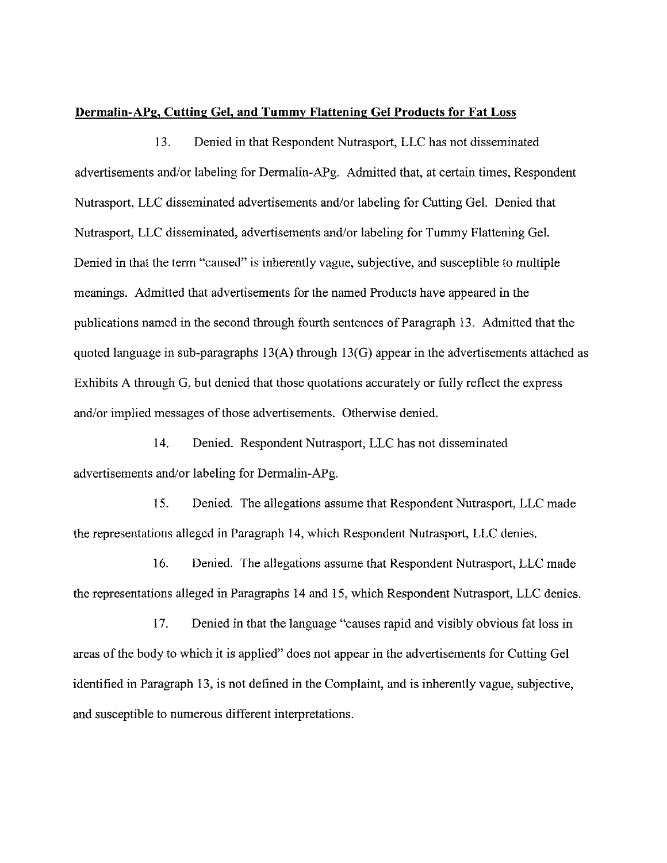#### **Dermafin-APE, Cutting Gel, and Tummy Flattening Gel Products for Fat Loss**

13. Denied in that Respondent Nutrasport, LLC has not disseminated advertisements and/or labeling for Dermalin-APg. Admitted that, at certain times, Respondent Nutrasport, LLC disseminated advertisements and/or labeling for Cutting Gel. Denied that Nutrasport, LLC disseminated, advertisements and/or labeling for Tummy Flattening Gel. Denied in that the term "caused" is inherently vague, subjective, and susceptible to multiple meanings. Admitted that advertisements for the named Products have appeared in the publications named in the second through fourth sentences of Paragraph 13. Admitted that the quoted language in sub-paragraphs  $13(A)$  through  $13(G)$  appear in the advertisements attached as Exhibits A through G, but denied that those quotations accurately or fully reflect the express and/or implied messages of those advertisements. Otherwise denied.

14. Denied. Respondent Nutrasport, LLC has not disseminated advertisements and/or labeling for Dermalin-APg.

15. Denied. The allegations assume that Respondent Nutrasport, LLC made the representations alleged in Paragraph 14, which Respondent Nutrasport, LLC denies.

16. Denied. The allegations assume that Respondent Nutrasport, LLC made the representations alleged in Paragraphs 14 and 15, which Respondent Nutrasport, LLC denies.

17. Denied in that the language "causes rapid and visibly obvious fat loss in areas of the body to which it is applied" does not appear in the advertisements for Cutting Gel identified in Paragraph 13, is not defined in the Complaint, and is inherently vague, subjective, and susceptible to numerous different interpretations.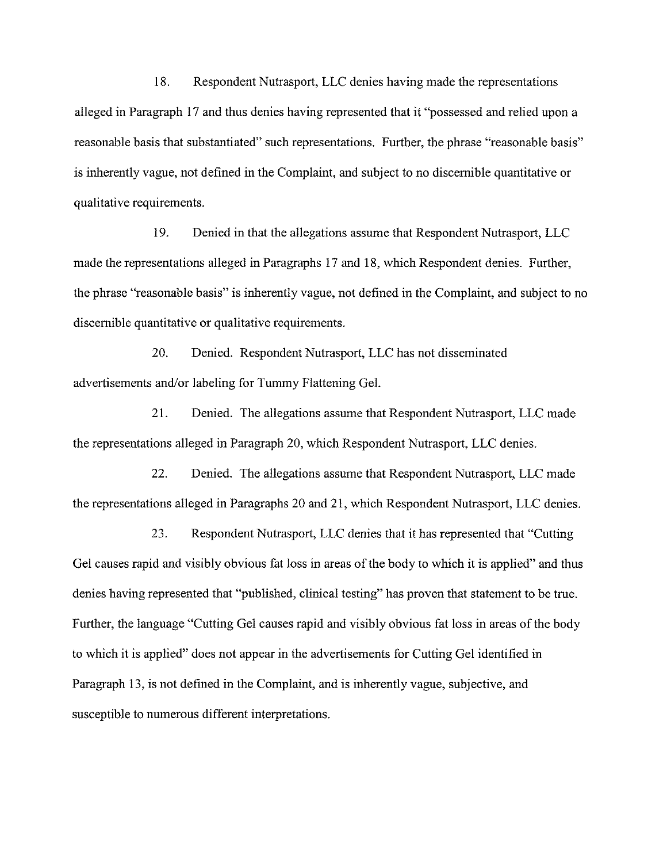18. Respondent Nutrasport, LLC denies having made the representations alleged in Paragraph 17 and thus denies having represented that it "possessed and relied upon a reasonable basis that substantiated" such representations. Further, the phrase "reasonable basis" is inherently vague, not defined in the Complaint, and subject to no discernible quantitative or qualitative requirements.

19. Denied in that the allegations assume that Respondent Nutrasport, LLC made the representations alleged in Paragraphs 17 and 18, which Respondent denies. Further, the phrase "reasonable basis" is inherently vague, not defined in the Complaint, and subject to no discernible quantitative or qualitative requirements.

20. Denied. Respondent Nutrasport, LLC bas not disseminated advertisements and/or labeling for Tummy Flattening Gel.

21. Denied. The allegations assume that Respondent Nutrasport, LLC made the representations alleged in Paragraph 20, which Respondent Nutrasport, LLC denies.

22. Denied. The allegations assume that Respondent Nutrasport, LLC made the representations alleged in Paragraphs 20 and 21, which Respondent Nutrasport, LLC denies.

23. Respondent Nutrasport, LLC denies that it has represented that "Cutting Gel causes rapid and visibly obvious fat loss in areas of the body to which it is applied" and thus denies having represented that "published, clinical testing" has proven that statement to be true. Further, the language "Cutting Gel causes rapid and visibly obvious fat loss in areas of the body to which it is applied" does not appear in the advertisements for Cutting Gel identified in Paragraph 13, is not defined in the Complaint, and is inherently vague, subjective, and susceptible to numerous different interpretations.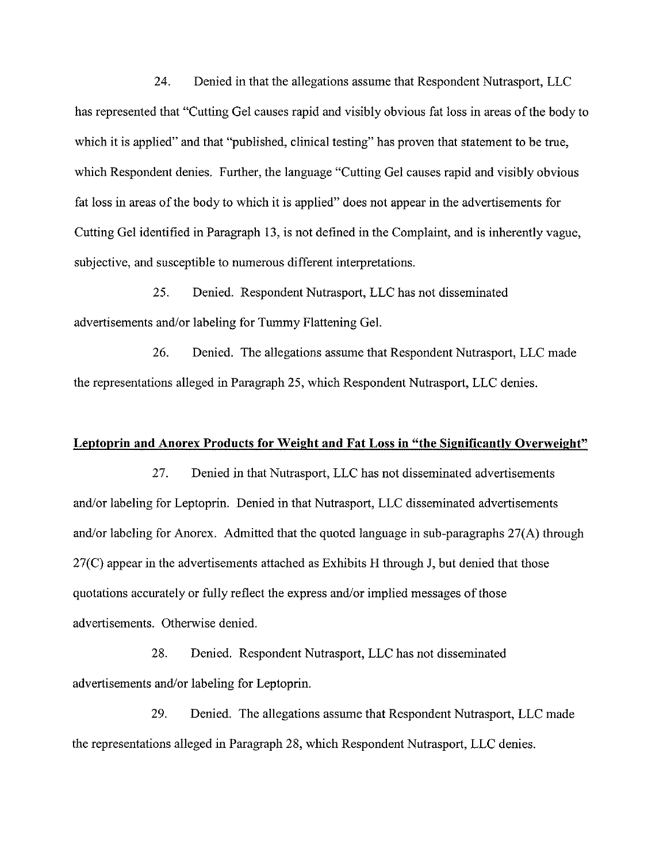24. Denied in that the allegations assume that Respondent Nutrasport, LLC has represented that "Cutting Gel causes rapid and visibly obvious fat loss in areas of the body to which it is applied" and that "published, clinical testing" has proven that statement to be true, which Respondent denies. Further, the language "Cutting Gel causes rapid and visibly obvious fat loss in areas of the body to which it is applied" does not appear in the advertisements for Cutting Gel identified in Paragraph 13, is not defined in the Complaint, and is inherently vague, subjective, and susceptible to numerous different interpretations.

25. Denied. Respondent Nutrasport, LLC has not disseminated advertisements and/or labeling for Tummy Flattening Gel.

26. Denied. The allegations assume that Respondent Nutrasport, LLC made the representations alleged in Paragraph 25, which Respondent Nutrasport, LLC denies.

#### **Leptoprin and Anorex Products for Weight and Fat Loss in "the Significantly Overweight"**

27. Denied in that Nutrasport, LLC has not disseminated advertisements and/or labeling for Leptoprin. Denied in that Nutrasport, LLC disseminated advertisements and/or labeling for Anorex. Admitted that the quoted language in sub-paragraphs 27(A) through 27(C) appear in the advertisements attached as Exhibits H through J, but denied that those quotations accurately or fully reflect the express and/or implied messages of those advertisements. Otherwise denied.

28. Denied. Respondent Nutrasport, LLC has not disseminated advertisements and/or labeling for Leptoprin.

29. Denied. The allegations assume that Respondent Nutrasport, LLC made the representations alleged in Paragraph 28, which Respondent Nutrasport, LLC denies.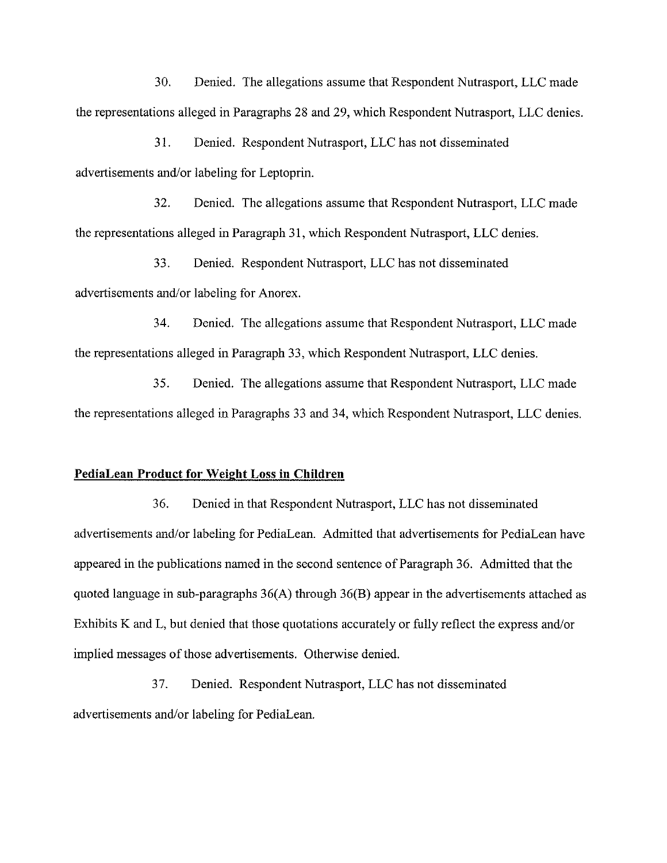30. Denied. The allegations assume that Respondent Nutrasport, LLC made the representations alleged in Paragraphs 28 and 29, which Respondent Nutrasport, LLC denies.

3 1. Denied. Respondent Nutrasport, LLC has not disseminated advertisements and/or labeling for Leptoprin.

32. Denied. The allegations assume that Respondent Nutrasport, LLC made the representations alleged in Paragraph 3 1, which Respondent Nutrasport, LLC denies.

33. Denied. Respondent Nutrasport, LLC has not disseminated advertisements and/or labeling for Anorex.

34. Denied. The allegations assume that Respondent Nutrasport, LLC made the representations alleged in Paragraph 33, which Respondent Nutrasport, LLC denies.

35. Denied. The allegations assume that Respondent Nutrasport, LLC made the representations alleged in Paragraphs 33 and 34, which Respondent Nutrasport, LLC denies.

### **PediaLean Product for Weight Loss in Children**

36. Denied in that Respondent Nutrasport, LLC has not disseminated advertisements and/or labeling for PediaLean. Admitted that advertisements for PediaLean have appeared in the publications named in the second sentence of Paragraph 36. Admitted that the quoted language in sub-paragraphs 36(A) through 36(B) appear in the advertisements attached as Exhibits K and L, but denied that those quotations accurately or fully reflect the express and/or implied messages of those advertisements. Otherwise denied.

37. Denied. Respondent Nutrasport, LLC has not disseminated advertisements and/or labeling for PediaLean.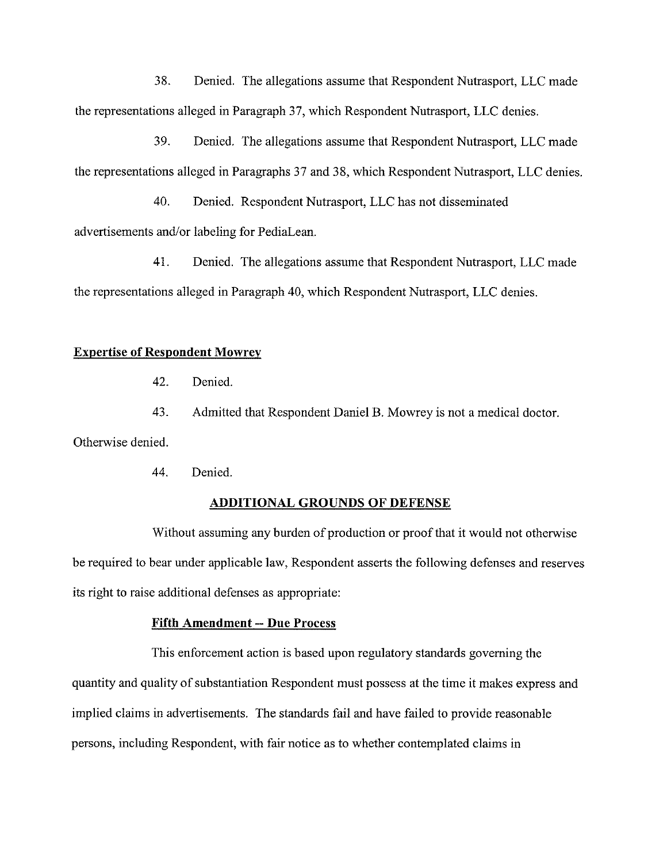38. Denied. The allegations assume that Respondent Nutrasport, LLC made the representations alleged in Paragraph 37, which Respondent Nutrasport, LLC denies.

39. Denied. The allegations assume that Respondent Nutrasport, LLC made the representations alleged in Paragraphs 37 and 38, which Respondent Nutrasport, LLC denies.

40. Denied. Respondent Nutrasport, LLC has not disseminated advertisements and/or labeling for PediaLean.

41. Denied. The allegations assume that Respondent Nutrasport, LLC made the representations alleged in Paragraph 40, which Respondent Nutrasport, LLC denies.

### **Expertise of Respondent Mowrev**

42. Denied.

43. Admitted that Respondent Daniel B. Mowrey is not a medical doctor.

Otherwise denied.

44. Denied.

#### **ADDITIONAL GROUNDS OF DEFENSE**

Without assuming any burden of production or proof that it would not otherwise be required to bear under applicable law, Respondent asserts the following defenses and reserves its right to raise additional defenses as appropriate:

### **Fifth Amendment -- Due Process**

This enforcement action is based upon regulatory standards governing the quantity and quality of substantiation Respondent must possess at the time it makes express and implied claims in advertisements. The standards fail and have failed to provide reasonable persons, including Respondent, with fair notice as to whether contemplated claims in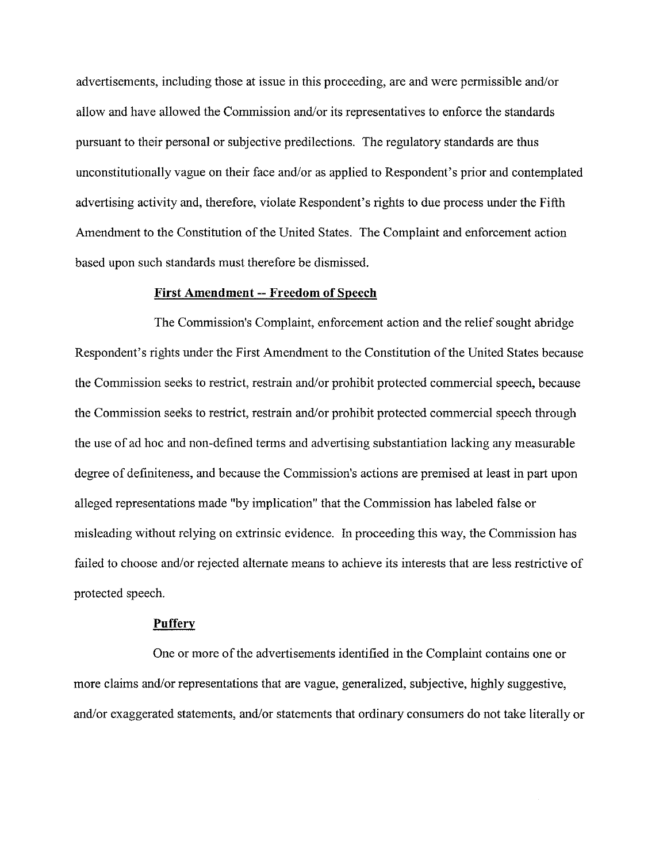advertisements, including those at issue in this proceeding, are and were permissible and/or allow and have allowed the Commission and/or its representatives to enforce the standards pursuant to their personal or subjective predilections. The regulatory standards are thus unconstitutionally vague on their face and/or as applied to Respondent's prior and contemplated advertising activity and, therefore, violate Respondent's rights to due process under the Fifth Amendment to the Constitution of the United States. The Complaint and enforcement action based upon such standards must therefore he dismissed.

#### **First Amendment** -- **Freedom of Speech**

The Commission's Complaint, enforcement action and the relief sought abridge Respondent's rights under the First Amendment to the Constitution of the United States because the Commission seeks to restrict, restrain and/or prohibit protected commercial speech, because the Commission seeks to restrict, restrain and/or prohibit protected commercial speech through the use of ad hoc and non-defined terms and advertising substantiation lacking any measurable degree of definiteness, and because the Commission's actions are premised at least in part upon alleged representations made "by implication" that the Commission has labeled false or misleading without relying on extrinsic evidence. In proceeding this way, the Commission has failed to choose and/or rejected alternate means to achieve its interests that are less restrictive of protected speech.

### **Puffery**

One or more of the advertisements identified in the Complaint contains one or more claims and/or representations that are vague, generalized, subjective, highly suggestive, and/or exaggerated statements, and/or statements that ordinary consumers do not take literally or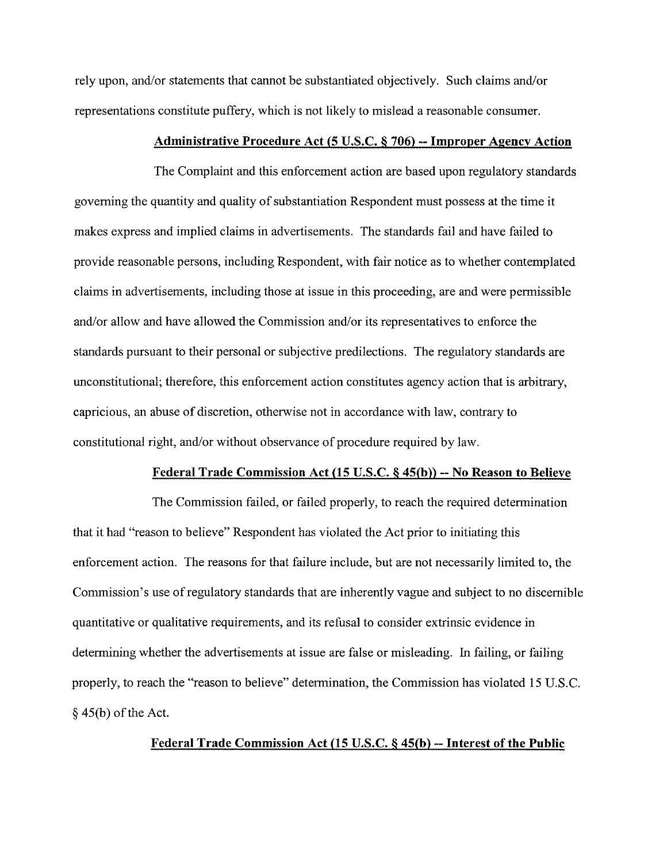rely upon, and/or statements that cannot be substantiated objectively. Such claims and/or representations constitute puffery, which is not likely to mislead a reasonable consumer.

### **Administrative Procedure Act (5 U.S.C. 6 706)** -- **Improper Agency Action**

The Complaint and this enforcement action are based upon regulatory standards governing the quantity and quality of substantiation Respondent must possess at the time it makes express and implied claims in advertisements. The standards fail and have failed to provide reasonable persons, including Respondent, with fair notice as to whether contemplated claims in advertisements, including those at issue in this proceeding, are and were permissible and/or allow and have allowed the Commission and/or its representatives to enforce the standards pursuant to their personal or subjective predilections. The regulatory standards are unconstitutional; therefore, this enforcement action constitutes agency action that is arbitrary, capricious, an abuse of discretion, otherwise not in accordance with law, contrary to constitutional right, and/or without observance of procedure required by law.

#### **Federal Trade Commission Act (15 U.S.C.** 6 **45(b))** -- **No Reason to Believe**

The Commission failed, or failed properly, to reach the required determination that it had "reason to believe" Respondent has violated the Act prior to initiating this enforcement action. The reasons for that failure include, but are not necessarily limited to, the Commission's use of regulatory standards that are inherently vague and subject to no discernible quantitative or qualitative requirements, and its refusal to consider extrinsic evidence in determining whether the advertisements at issue are false or misleading. In failing, or failing properly, to reach the "reason to believe" determination, the Commission has violated 15 U.S.C. *5* 45(b) of the Act.

# **Federal Trade Commission Act (15 U.S.C.** 6 **45(b)** -- **Interest of the Public**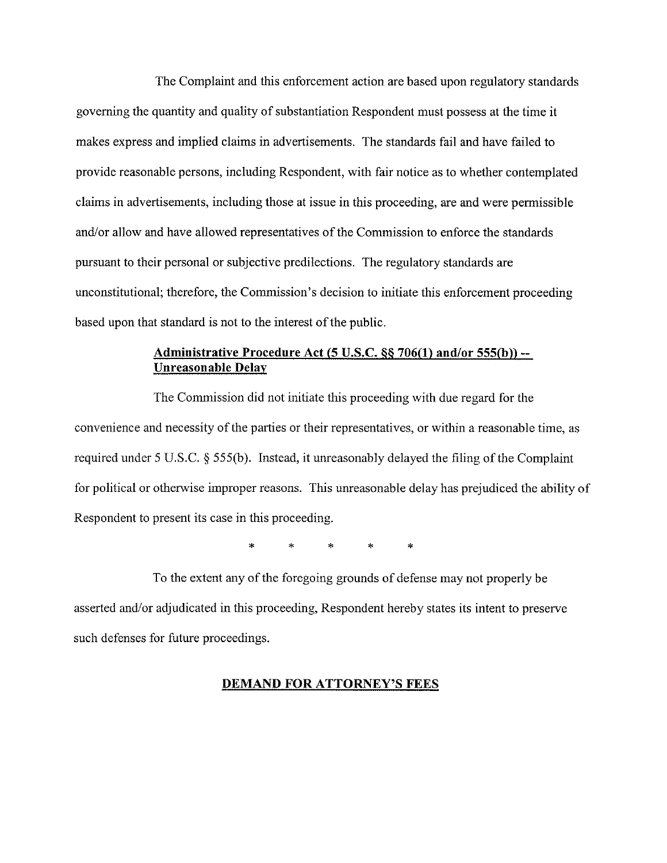The Complaint and this enforcement action are based upon regulatory standards governing the quantity and quality of substantiation Respondent must possess at the time it makes express and implied claims in advertisements. The standards fail and have failed to provide reasonable persons, including Respondent, with fair notice as to whether contemplated claims in advertisements, including those at issue in this proceeding, are and were permissible and/or allow and have allowed representatives of the Commission to enforce the standards pursuant to their personal or subjective predilections. The regulatory standards are unconstitutional; therefore, the Commission's decision to initiate this enforcement proceeding based upon that standard is not to the interest of the public.

# **Administrative Procedure Act (5 U.S.C. 66 706(1) andlor 555(b))** -- **Unreasonable Delay**

The Commission did not initiate this proceeding with due regard for the convenience and necessity of the parties or their representatives, or within a reasonable time, as required under 5 U.S.C. § 555(h). Instead, it unreasonably delayed the filing of the Complaint for political or otherwise improper reasons. This unreasonable delay has prejudiced the ability of Respondent to present its case in this proceeding.

\* \* \* \* \*

To the extent any of the foregoing grounds of defense may not properly be asserted and/or adjudicated in this proceeding, Respondent hereby states its intent to preserve such defenses for future proceedings.

### **DEMAND FOR ATTORNEY'S FEES**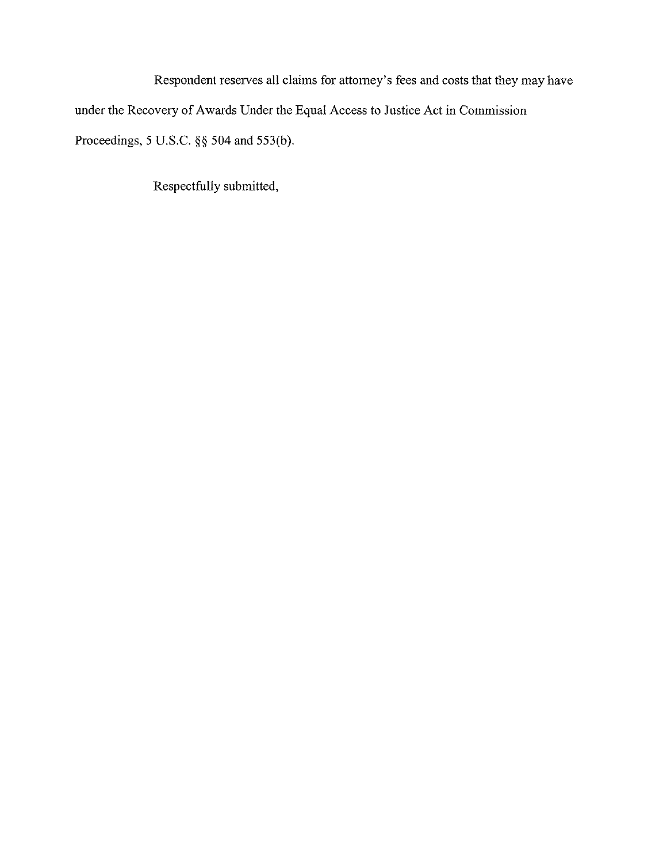Respondent reserves all claims for attorney's fees and costs that they may have under the Recovery of Awards Under the Equal Access to Justice Act in Commission Proceedings, 5 U.S.C. *\$5* 504 and 553(b).

Respectfully submitted,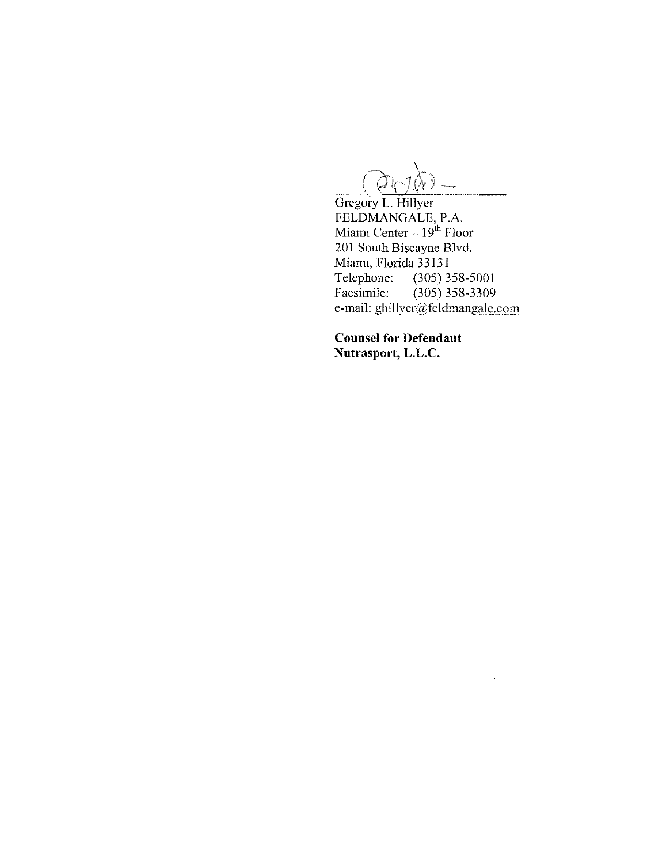$\mathcal{Q}_0$ 

 $\sim$ 

FELDMANGALE, P.A.<br>Miami Center – 19<sup>th</sup> Floor 201 South Biscayne Blvd. Miami, Florida 33131<br>Telephone: (305) 3 Telephone: (305) 358-5001<br>Facsimile: (305) 358-3309  $(305)$  358-3309 e-mail: ghillyer@feldmangale.com

 $\sim$ 

**Counsel for Defendant Nutrasport, L.L.C.**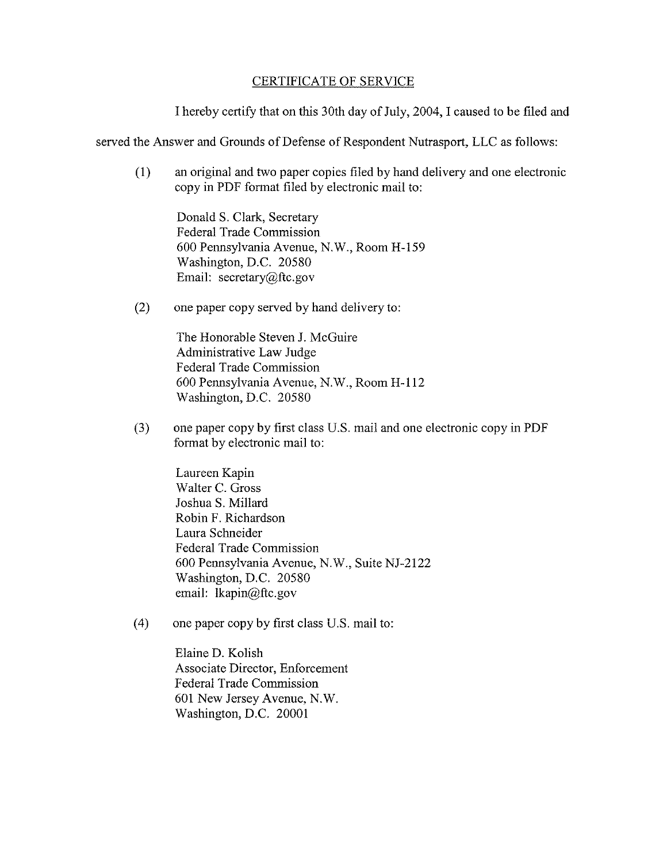## CERTIFICATE OF SERVICE

I hereby certify that on this 30th day of July, 2004, I caused to be filed and

served the Answer and Grounds of Defense of Respondent Nutrasport, LLC as follows:

(1) an original and two paper copies filed by hand delivery and one electronic copy in PDF format filed by electronic mail to:

Donald S. Clark, Secretary Federal Trade Commission 600 Pennsylvania Avenue, N.W., Room H-159 Washington, D.C. 20580 Email: secretary@ftc.gov

(2) one paper copy served by hand delivery to:

The Honorable Steven J. McGuire Administrative Law Judge Federal Trade Commission 600 Pennsylvania Avenue, N.W., Room H-112 Washington, D.C. 20580

(3) one paper copy by first class US. mail and one electronic copy in PDF format by electronic mail to:

> Laureen Kapin Walter C. Gross Joshua S. Millard Robin F. Richardson Laura Schneider Federal Trade Commission 600 Pennsylvania Avenue, N.W., Suite NJ-2122 Washington, D.C. 20580 email: Ikapin@ftc.gov

(4) one paper copy by first class US. mail to:

Elaine D. Kolish Associate Director, Enforcement Federal Trade Commission 601 New Jersey Avenue, N.W. Washington, D.C. 20001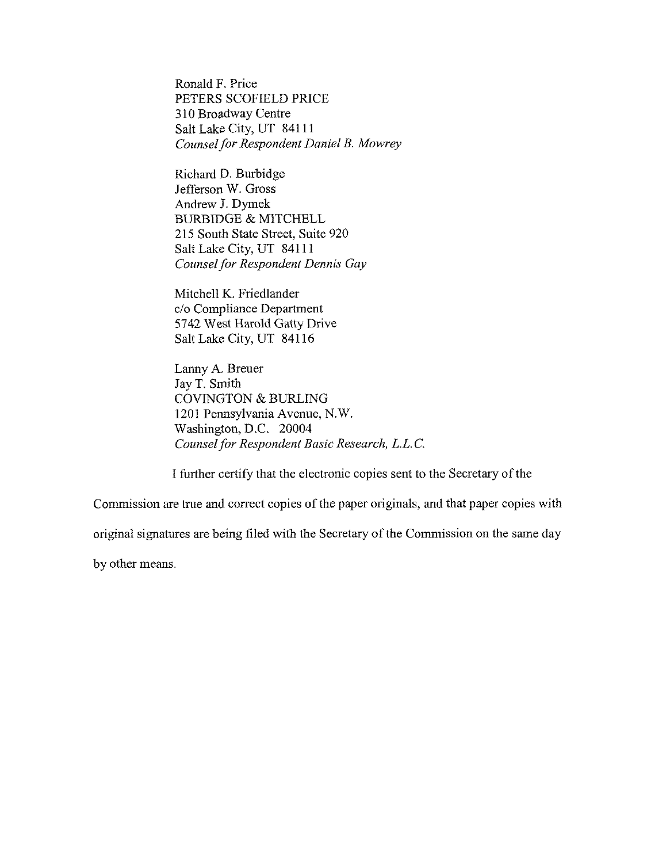Ronald F. Price PETERS SCOFIELD PRICE 3 10 Broadway Centre Salt Lake City, UT 84111 *Counsel for Respondent Daniel B. Mowrey* 

Richard D. Burbidge Jefferson W. Gross Andrew J. Dymek BURBIDGE & MITCHELL 215 South State Street, Suite 920 Salt Lake City, UT 841 11 *Counsel for Respondent Dennis Gay* 

Mitchell K. Friedlander c/o Compliance Department 5742 West Harold Gatty Drive Salt Lake City, UT 841 16

Lanny A. Breuer Jay T. Smith COVINGTON & BURLING 1201 Pennsylvania Avenue, N.W. Washington, D.C. 20004 *Counsel for Respondent Basic Research, L.L. C.* 

I further certify that the electronic copies sent to the Secretary of the

Commission are true and correct copies of the paper originals, and that paper copies with

original signatures are being filed with the Secretary of the Commission on the same day

by other means.